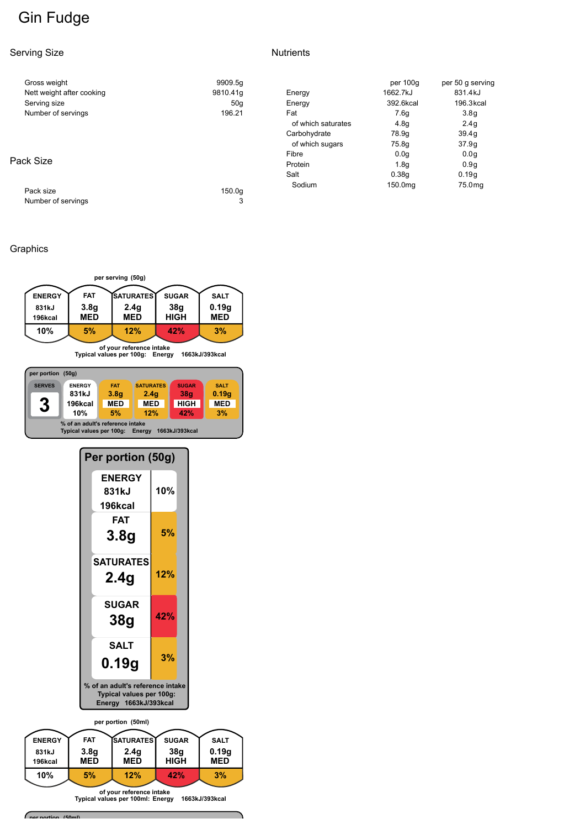# **Gin Fudge**

#### Serving Size

| Nutrients |  |
|-----------|--|
|           |  |

| Gross weight              | 9909.5q       |                    | per 100g         | per 50 g serving |
|---------------------------|---------------|--------------------|------------------|------------------|
| Nett weight after cooking | 9810.41g      | Energy             | 1662.7kJ         | 831.4kJ          |
| Serving size              | 50q           | Energy             | 392.6kcal        | 196.3kcal        |
| Number of servings        | 196.21<br>Fat |                    | 7.6q             | 3.8 <sub>q</sub> |
|                           |               | of which saturates | 4.8 <sub>g</sub> | 2.4 <sub>q</sub> |
|                           |               | Carbohydrate       | 78.9g            | 39.4g            |
|                           |               | of which sugars    | 75.8g            | 37.9q            |
|                           |               | Fibre              | 0.0 <sub>q</sub> | 0.0 <sub>q</sub> |
| Pack Size                 |               | Protein            | 1.8 <sub>q</sub> | 0.9q             |
|                           |               | Salt               | 0.38q            | 0.19q            |
| Pack size                 | 150.0a        | Sodium             | 150.0mg          | 75.0mg           |
| Number of servings        | 3             |                    |                  |                  |

## Graphics



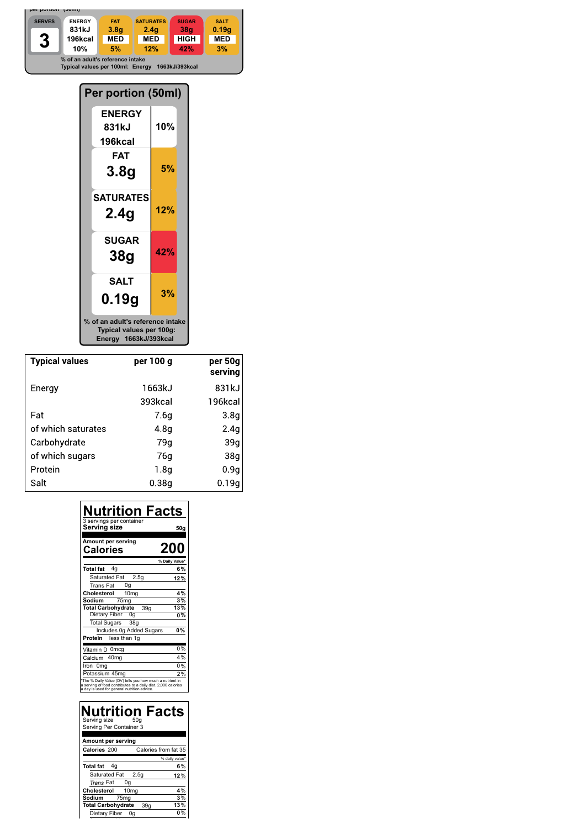

| Per portion (50ml)                                                                    |     |  |  |  |
|---------------------------------------------------------------------------------------|-----|--|--|--|
| <b>ENERGY</b><br>831kJ<br>196kcal                                                     | 10% |  |  |  |
| FAT<br>3.8g                                                                           | 5%  |  |  |  |
| <b>SATURATES</b><br>2.4g                                                              | 12% |  |  |  |
| <b>SUGAR</b><br>38g                                                                   | 42% |  |  |  |
| <b>SALT</b><br>0.19q                                                                  | 3%  |  |  |  |
| % of an adult's reference intake<br>Typical values per 100g:<br>Energy 1663kJ/393kcal |     |  |  |  |

| <b>Typical values</b> | per 100 g | per 50g<br>serving |
|-----------------------|-----------|--------------------|
| Energy                | 1663kJ    | 831kJ              |
|                       | 393kcal   | 196kcal            |
| Fat                   | 7.6g      | 3.8q               |
| of which saturates    | 4.8g      | 2.4q               |
| Carbohydrate          | 79a       | 39g                |
| of which sugars       | 76a       | 38q                |
| Protein               | 1.8q      | 0.9g               |
| Salt                  | 0.38a     | 0.19q              |

| Nutrition Facts<br>3 servings per container<br>Serving size<br>50g                                                                                                       |  |
|--------------------------------------------------------------------------------------------------------------------------------------------------------------------------|--|
| Amount per serving<br>200<br><b>Calories</b>                                                                                                                             |  |
| % Daily Value*                                                                                                                                                           |  |
| 4 <sub>q</sub><br><b>Total fat</b><br>6%                                                                                                                                 |  |
| Saturated Fat 2.5g<br>12%                                                                                                                                                |  |
| Trans Fat<br>0g                                                                                                                                                          |  |
| Cholesterol<br>10 <sub>mg</sub><br>4%                                                                                                                                    |  |
| 75 <sub>mg</sub><br>Sodium<br>3%                                                                                                                                         |  |
| <b>Total Carbohydrate</b><br>13%<br>39 <sub>q</sub>                                                                                                                      |  |
| <b>Dietary Fiber</b><br>0g<br>0%                                                                                                                                         |  |
| <b>Total Sugars</b><br>38 <sub>q</sub>                                                                                                                                   |  |
| 0%<br>Includes 0g Added Sugars                                                                                                                                           |  |
| Protein<br>less than 1g                                                                                                                                                  |  |
| 0%<br>Vitamin D 0mcg                                                                                                                                                     |  |
| 4%<br>Calcium 40mg                                                                                                                                                       |  |
| 0%<br>Iron 0mg                                                                                                                                                           |  |
| Potassium 45mg<br>2%                                                                                                                                                     |  |
| *The % Daily Value (DV) tells you how much a nutrient in<br>a serving of food contributes to a daily diet. 2,000 calories<br>a day is used for general nutrition advice. |  |

| Nutrition Facts<br>Serving size<br>50 <sub>q</sub><br>Serving Per Container 3 |                      |
|-------------------------------------------------------------------------------|----------------------|
|                                                                               |                      |
| Amount per serving                                                            |                      |
| Calories 200                                                                  | Calories from fat 35 |
|                                                                               | % daily value*       |
| <b>Total fat</b><br>4a                                                        | 6%                   |
| Saturated Fat 2.5g                                                            | 12%                  |
| Trans Fat<br>0g                                                               |                      |
| Cholesterol<br>10 <sub>mg</sub>                                               | 4%                   |
| 75 <sub>mg</sub><br>Sodium                                                    | 3%                   |
| <b>Total Carbohydrate</b><br>39a                                              | 13%                  |
| Dietary Fiber<br>0a                                                           |                      |